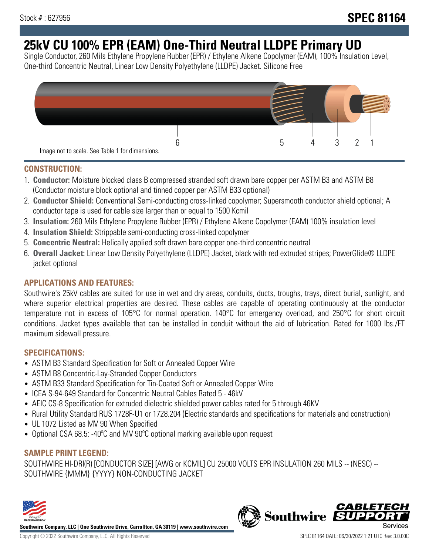# **25kV CU 100% EPR (EAM) One-Third Neutral LLDPE Primary UD**

Single Conductor, 260 Mils Ethylene Propylene Rubber (EPR) / Ethylene Alkene Copolymer (EAM), 100% Insulation Level, One-third Concentric Neutral, Linear Low Density Polyethylene (LLDPE) Jacket. Silicone Free



### **CONSTRUCTION:**

- 1. **Conductor:** Moisture blocked class B compressed stranded soft drawn bare copper per ASTM B3 and ASTM B8 (Conductor moisture block optional and tinned copper per ASTM B33 optional)
- 2. **Conductor Shield:** Conventional Semi-conducting cross-linked copolymer; Supersmooth conductor shield optional; A conductor tape is used for cable size larger than or equal to 1500 Kcmil
- 3. **Insulation:** 260 Mils Ethylene Propylene Rubber (EPR) / Ethylene Alkene Copolymer (EAM) 100% insulation level
- 4. **Insulation Shield:** Strippable semi-conducting cross-linked copolymer
- 5. **Concentric Neutral:** Helically applied soft drawn bare copper one-third concentric neutral
- 6. **Overall Jacket:** Linear Low Density Polyethylene (LLDPE) Jacket, black with red extruded stripes; PowerGlide® LLDPE jacket optional

### **APPLICATIONS AND FEATURES:**

Southwire's 25kV cables are suited for use in wet and dry areas, conduits, ducts, troughs, trays, direct burial, sunlight, and where superior electrical properties are desired. These cables are capable of operating continuously at the conductor temperature not in excess of 105°C for normal operation. 140°C for emergency overload, and 250°C for short circuit conditions. Jacket types available that can be installed in conduit without the aid of lubrication. Rated for 1000 lbs./FT maximum sidewall pressure.

### **SPECIFICATIONS:**

- ASTM B3 Standard Specification for Soft or Annealed Copper Wire
- ASTM B8 Concentric-Lay-Stranded Copper Conductors
- ASTM B33 Standard Specification for Tin-Coated Soft or Annealed Copper Wire
- ICEA S-94-649 Standard for Concentric Neutral Cables Rated 5 46kV
- AEIC CS-8 Specification for extruded dielectric shielded power cables rated for 5 through 46KV
- Rural Utility Standard RUS 1728F-U1 or 1728.204 (Electric standards and specifications for materials and construction)
- UL 1072 Listed as MV 90 When Specified
- Optional CSA 68.5: -40°C and MV 90°C optional marking available upon request

### **SAMPLE PRINT LEGEND:**

SOUTHWIRE HI-DRI(R) [CONDUCTOR SIZE] [AWG or KCMIL] CU 25000 VOLTS EPR INSULATION 260 MILS -- (NESC) -- SOUTHWIRE {MMM} {YYYY} NON-CONDUCTING JACKET



**Southwire Company, LLC | One Southwire Drive, Carrollton, GA 30119 | www.southwire.com**